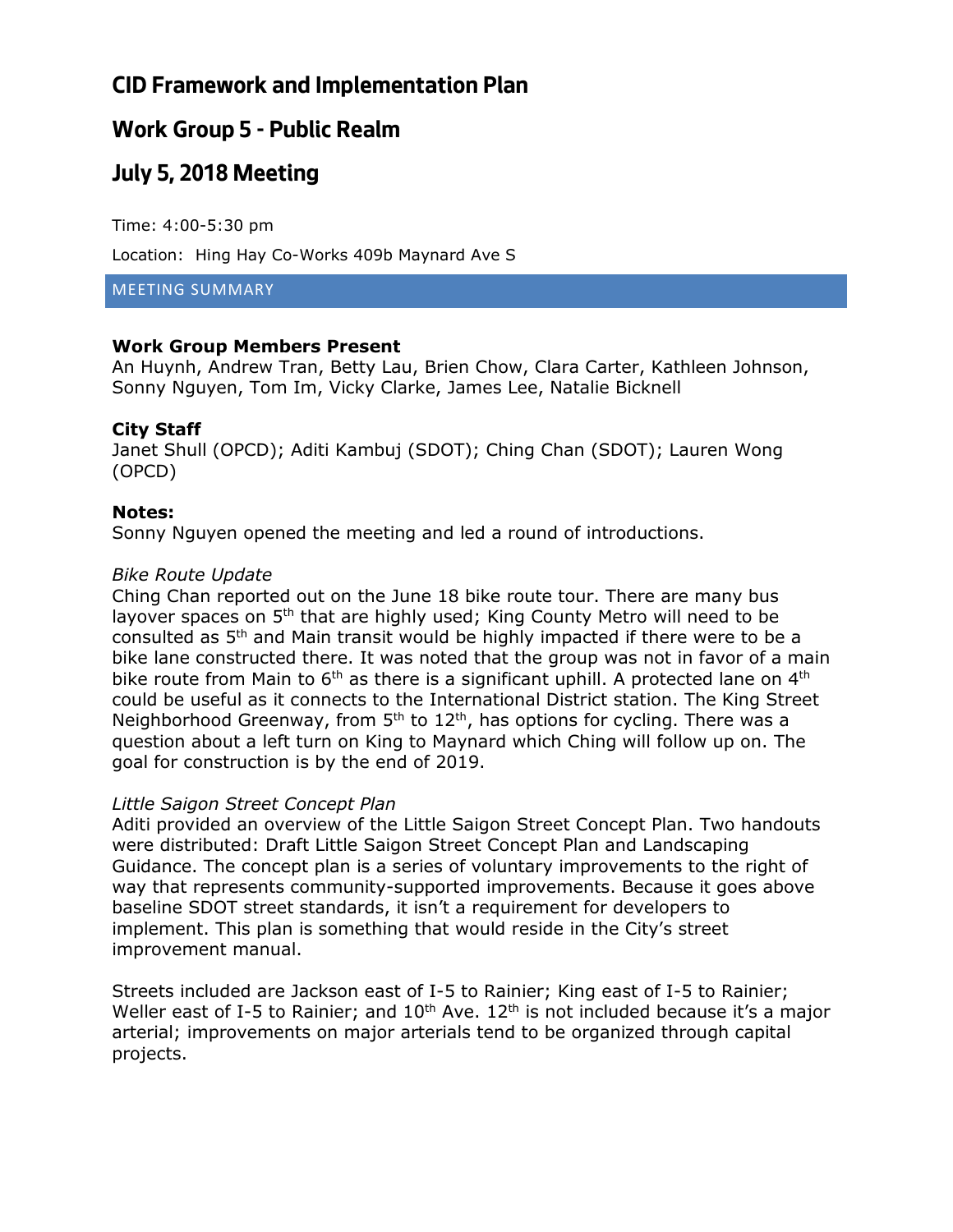## **CID Framework and Implementation Plan**

### **Work Group 5 - Public Realm**

## **July 5, 2018 Meeting**

Time: 4:00-5:30 pm

Location: Hing Hay Co-Works 409b Maynard Ave S

#### MEETING SUMMARY

### **Work Group Members Present**

An Huynh, Andrew Tran, Betty Lau, Brien Chow, Clara Carter, Kathleen Johnson, Sonny Nguyen, Tom Im, Vicky Clarke, James Lee, Natalie Bicknell

### **City Staff**

Janet Shull (OPCD); Aditi Kambuj (SDOT); Ching Chan (SDOT); Lauren Wong (OPCD)

#### **Notes:**

Sonny Nguyen opened the meeting and led a round of introductions.

#### *Bike Route Update*

Ching Chan reported out on the June 18 bike route tour. There are many bus layover spaces on 5<sup>th</sup> that are highly used; King County Metro will need to be consulted as 5th and Main transit would be highly impacted if there were to be a bike lane constructed there. It was noted that the group was not in favor of a main bike route from Main to  $6<sup>th</sup>$  as there is a significant uphill. A protected lane on  $4<sup>th</sup>$ could be useful as it connects to the International District station. The King Street Neighborhood Greenway, from  $5<sup>th</sup>$  to  $12<sup>th</sup>$ , has options for cycling. There was a question about a left turn on King to Maynard which Ching will follow up on. The goal for construction is by the end of 2019.

#### *Little Saigon Street Concept Plan*

Aditi provided an overview of the Little Saigon Street Concept Plan. Two handouts were distributed: Draft Little Saigon Street Concept Plan and Landscaping Guidance. The concept plan is a series of voluntary improvements to the right of way that represents community-supported improvements. Because it goes above baseline SDOT street standards, it isn't a requirement for developers to implement. This plan is something that would reside in the City's street improvement manual.

Streets included are Jackson east of I-5 to Rainier; King east of I-5 to Rainier; Weller east of I-5 to Rainier; and  $10^{th}$  Ave.  $12^{th}$  is not included because it's a major arterial; improvements on major arterials tend to be organized through capital projects.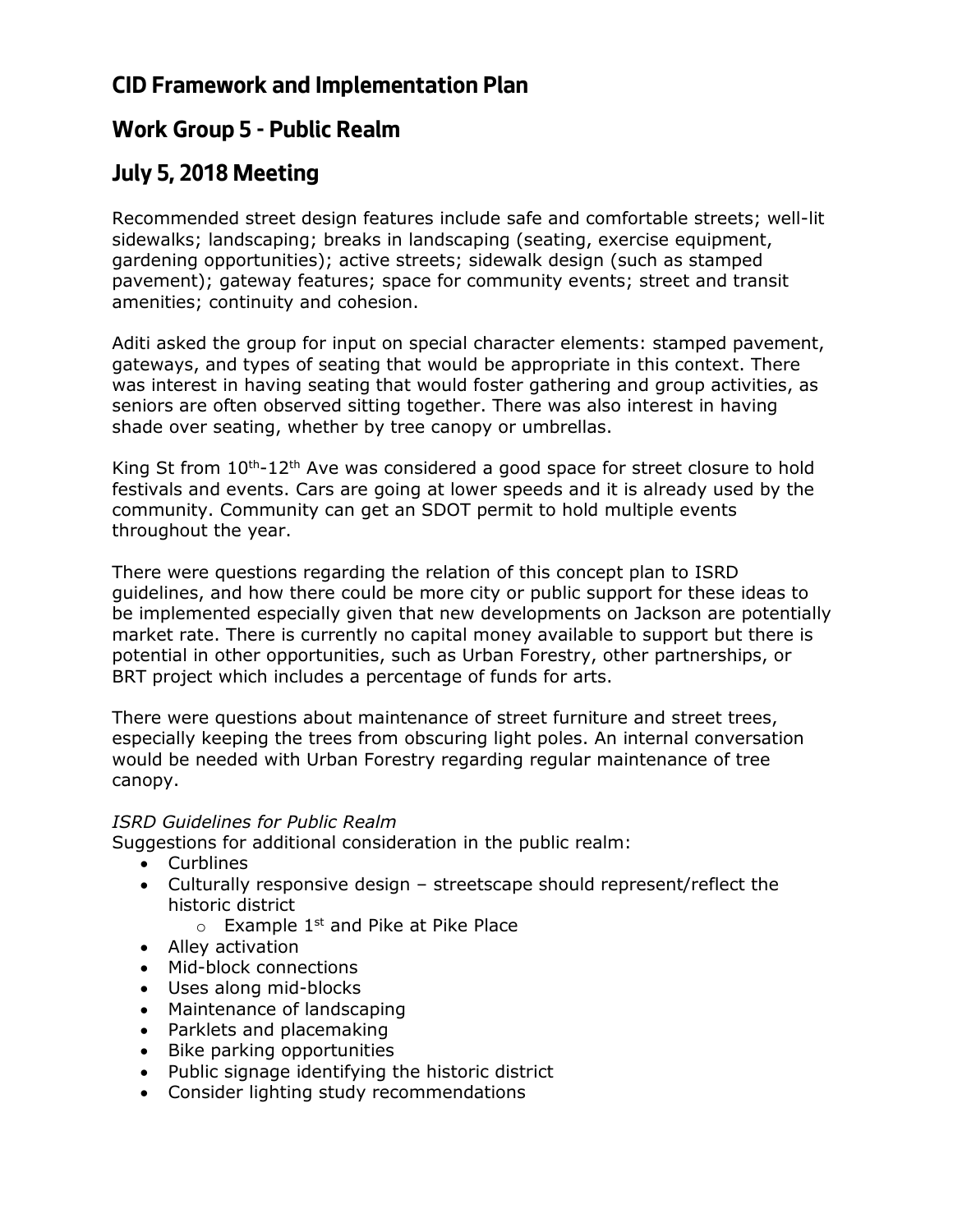## **CID Framework and Implementation Plan**

### **Work Group 5 - Public Realm**

# **July 5, 2018 Meeting**

Recommended street design features include safe and comfortable streets; well-lit sidewalks; landscaping; breaks in landscaping (seating, exercise equipment, gardening opportunities); active streets; sidewalk design (such as stamped pavement); gateway features; space for community events; street and transit amenities; continuity and cohesion.

Aditi asked the group for input on special character elements: stamped pavement, gateways, and types of seating that would be appropriate in this context. There was interest in having seating that would foster gathering and group activities, as seniors are often observed sitting together. There was also interest in having shade over seating, whether by tree canopy or umbrellas.

King St from  $10^{th}$ -12<sup>th</sup> Ave was considered a good space for street closure to hold festivals and events. Cars are going at lower speeds and it is already used by the community. Community can get an SDOT permit to hold multiple events throughout the year.

There were questions regarding the relation of this concept plan to ISRD guidelines, and how there could be more city or public support for these ideas to be implemented especially given that new developments on Jackson are potentially market rate. There is currently no capital money available to support but there is potential in other opportunities, such as Urban Forestry, other partnerships, or BRT project which includes a percentage of funds for arts.

There were questions about maintenance of street furniture and street trees, especially keeping the trees from obscuring light poles. An internal conversation would be needed with Urban Forestry regarding regular maintenance of tree canopy.

### *ISRD Guidelines for Public Realm*

Suggestions for additional consideration in the public realm:

- Curblines
- Culturally responsive design streetscape should represent/reflect the historic district
	- $\circ$  Example 1<sup>st</sup> and Pike at Pike Place
- Alley activation
- Mid-block connections
- Uses along mid-blocks
- Maintenance of landscaping
- Parklets and placemaking
- Bike parking opportunities
- Public signage identifying the historic district
- Consider lighting study recommendations